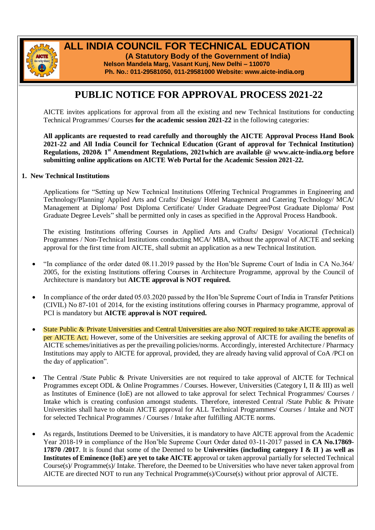

# **ALL INDIA COUNCIL FOR TECHNICAL EDUCATION**

 **(A Statutory Body of the Government of India) Nelson Mandela Marg, Vasant Kunj, New Delhi – 110070 Ph. No.: 011-29581050, 011-29581000 Website: www.aicte-india.org**

## **PUBLIC NOTICE FOR APPROVAL PROCESS 2021-22**

AICTE invites applications for approval from all the existing and new Technical Institutions for conducting Technical Programmes/ Courses **for the academic session 2021-22** in the following categories:

**All applicants are requested to read carefully and thoroughly the AICTE Approval Process Hand Book 2021-22 and All India Council for Technical Education (Grant of approval for Technical Institution) Regulations, 2020& 1st Amendment Regulations, 2021which are available @ www.aicte-india.org before submitting online applications on AICTE Web Portal for the Academic Session 2021-22.**

#### **1. New Technical Institutions**

Applications for "Setting up New Technical Institutions Offering Technical Programmes in Engineering and Technology/Planning/ Applied Arts and Crafts/ Design/ Hotel Management and Catering Technology/ MCA/ Management at Diploma/ Post Diploma Certificate/ Under Graduate Degree/Post Graduate Diploma/ Post Graduate Degree Levels" shall be permitted only in cases as specified in the Approval Process Handbook.

The existing Institutions offering Courses in Applied Arts and Crafts/ Design/ Vocational (Technical) Programmes / Non-Technical Institutions conducting MCA/ MBA, without the approval of AICTE and seeking approval for the first time from AICTE, shall submit an application as a new Technical Institution.

- "In compliance of the order dated 08.11.2019 passed by the Hon'ble Supreme Court of India in CA No.364/ 2005, for the existing Institutions offering Courses in Architecture Programme, approval by the Council of Architecture is mandatory but **AICTE approval is NOT required.**
- In compliance of the order dated 05.03.2020 passed by the Hon'ble Supreme Court of India in Transfer Petitions (CIVIL) No 87-101 of 2014, for the existing institutions offering courses in Pharmacy programme, approval of PCI is mandatory but **AICTE approval is NOT required.**
- State Public & Private Universities and Central Universities are also NOT required to take AICTE approval as per AICTE Act. However, some of the Universities are seeking approval of AICTE for availing the benefits of AICTE schemes/initiatives as per the prevailing policies/norms. Accordingly, interested Architecture / Pharmacy Institutions may apply to AICTE for approval, provided, they are already having valid approval of CoA /PCI on the day of application".
- The Central /State Public & Private Universities are not required to take approval of AICTE for Technical Programmes except ODL & Online Programmes / Courses. However, Universities (Category I, II & III) as well as Institutes of Eminence (IoE) are not allowed to take approval for select Technical Programmes/ Courses / Intake which is creating confusion amongst students. Therefore, interested Central /State Public & Private Universities shall have to obtain AICTE approval for ALL Technical Programmes/ Courses / Intake and NOT for selected Technical Programmes / Courses / Intake after fulfilling AICTE norms.
- As regards, Institutions Deemed to be Universities, it is mandatory to have AICTE approval from the Academic Year 2018-19 in compliance of the Hon'ble Supreme Court Order dated 03-11-2017 passed in **CA No.17869- 17870 /2017**. It is found that some of the Deemed to be **Universities (including category I & II ) as well as Institutes of Eminence (IoE) are yet to take AICTE a**pproval or taken approval partially for selected Technical Course(s)/ Programme(s)/ Intake. Therefore, the Deemed to be Universities who have never taken approval from AICTE are directed NOT to run any Technical Programme(s)/Course(s) without prior approval of AICTE.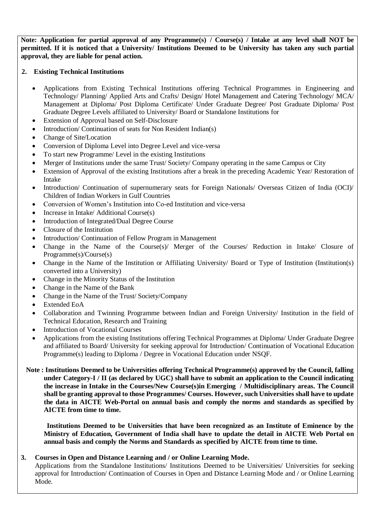**Note: Application for partial approval of any Programme(s) / Course(s) / Intake at any level shall NOT be permitted. If it is noticed that a University/ Institutions Deemed to be University has taken any such partial approval, they are liable for penal action.**

#### **2. Existing Technical Institutions**

- Applications from Existing Technical Institutions offering Technical Programmes in Engineering and Technology/ Planning/ Applied Arts and Crafts/ Design/ Hotel Management and Catering Technology/ MCA/ Management at Diploma/ Post Diploma Certificate/ Under Graduate Degree/ Post Graduate Diploma/ Post Graduate Degree Levels affiliated to University/ Board or Standalone Institutions for
- Extension of Approval based on Self-Disclosure
- Introduction/ Continuation of seats for Non Resident Indian(s)
- Change of Site/Location
- Conversion of Diploma Level into Degree Level and vice-versa
- To start new Programme/ Level in the existing Institutions
- Merger of Institutions under the same Trust/ Society/ Company operating in the same Campus or City
- Extension of Approval of the existing Institutions after a break in the preceding Academic Year/ Restoration of Intake
- Introduction/ Continuation of supernumerary seats for Foreign Nationals/ Overseas Citizen of India (OCI)/ Children of Indian Workers in Gulf Countries
- Conversion of Women's Institution into Co-ed Institution and vice-versa
- Increase in Intake/ Additional Course(s)
- Introduction of Integrated/Dual Degree Course
- Closure of the Institution
- Introduction/ Continuation of Fellow Program in Management
- Change in the Name of the Course(s)/ Merger of the Courses/ Reduction in Intake/ Closure of Programme(s)/Course(s)
- Change in the Name of the Institution or Affiliating University/ Board or Type of Institution (Institution(s) converted into a University)
- Change in the Minority Status of the Institution
- Change in the Name of the Bank
- Change in the Name of the Trust/ Society/Company
- Extended EoA

- Collaboration and Twinning Programme between Indian and Foreign University/ Institution in the field of Technical Education, Research and Training
- Introduction of Vocational Courses
- Applications from the existing Institutions offering Technical Programmes at Diploma/ Under Graduate Degree and affiliated to Board/ University for seeking approval for Introduction/ Continuation of Vocational Education Programme(s) leading to Diploma / Degree in Vocational Education under NSQF.
- **Note : Institutions Deemed to be Universities offering Technical Programme(s) approved by the Council, falling under Category-I / II (as declared by UGC) shall have to submit an application to the Council indicating the increase in Intake in the Courses/New Course(s)in Emerging / Multidisciplinary areas. The Council shall be granting approval to those Programmes/ Courses. However, such Universities shall have to update the data in AICTE Web-Portal on annual basis and comply the norms and standards as specified by AICTE from time to time.**

 **Institutions Deemed to be Universities that have been recognized as an Institute of Eminence by the Ministry of Education, Government of India shall have to update the detail in AICTE Web Portal on annual basis and comply the Norms and Standards as specified by AICTE from time to time.**

### **3. Courses in Open and Distance Learning and / or Online Learning Mode.**

Applications from the Standalone Institutions/ Institutions Deemed to be Universities/ Universities for seeking approval for Introduction/ Continuation of Courses in Open and Distance Learning Mode and / or Online Learning Mode.